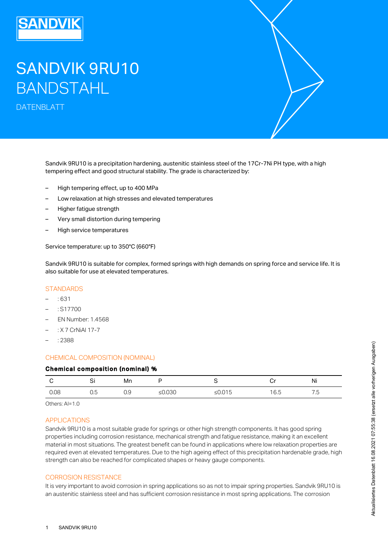# SANDVIK 9RU10 BANDSTAHL

DATENBLATT

Sandvik 9RU10 is a precipitation hardening, austenitic stainless steel of the 17Cr-7Ni PH type, with a high tempering effect and good structural stability. The grade is characterized by:

- High tempering effect, up to 400 MPa
- Low relaxation at high stresses and elevated temperatures
- Higher fatigue strength
- Very small distortion during tempering
- High service temperatures

Service temperature: up to 350°C (660°F)

Sandvik 9RU10 is suitable for complex, formed springs with high demands on spring force and service life. It is also suitable for use at elevated temperatures.

#### **STANDARDS**

- : 631
- : S17700
- EN Number: 1.4568
- : X 7 CrNiAl 17-7
- : 2388

## CHEMICAL COMPOSITION (NOMINAL)

#### Chemical composition (nominal) %

|      | ັັ                         | Mn                          |        | $-$                      | ٠.<br>ັ | $\ddot{\phantom{0}}$<br>Νı |
|------|----------------------------|-----------------------------|--------|--------------------------|---------|----------------------------|
| 0.08 | -<br>$\overline{ }$<br>∪.∪ | $^{\prime}$ ) $\cup$<br>U.J | ≤0.030 | $ \sim$ $-$<br>w<br>---- | U.J     | -<br>ں.                    |

Others: Al=1.0

### APPLICATIONS

Sandvik 9RU10 is a most suitable grade for springs or other high strength components. It has good spring properties including corrosion resistance, mechanical strength and fatigue resistance, making it an excellent material in most situations. The greatest benefit can be found in applications where low relaxation properties are required even at elevated temperatures. Due to the high ageing effect of this precipitation hardenable grade, high strength can also be reached for complicated shapes or heavy gauge components.

#### CORROSION RESISTANCE

It is very important to avoid corrosion in spring applications so as not to impair spring properties. Sandvik 9RU10 is an austenitic stainless steel and has sufficient corrosion resistance in most spring applications. The corrosion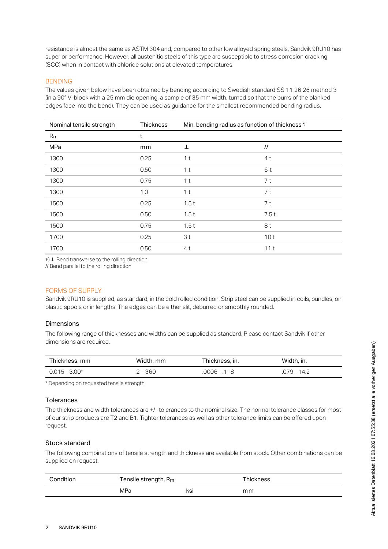resistance is almost the same as ASTM 304 and, compared to other low alloyed spring steels, Sandvik 9RU10 has superior performance. However, all austenitic steels of this type are susceptible to stress corrosion cracking (SCC) when in contact with chloride solutions at elevated temperatures.

### BENDING

The values given below have been obtained by bending according to Swedish standard SS 11 26 26 method 3 (in a 90° V-block with a 25 mm die opening, a sample of 35 mm width, turned so that the burrs of the blanked edges face into the bend). They can be used as guidance for the smallest recommended bending radius.

| Nominal tensile strength | Thickness | Min. bending radius as function of thickness *) |                |
|--------------------------|-----------|-------------------------------------------------|----------------|
| R <sub>m</sub>           | t         |                                                 |                |
| MPa                      | mm        | 丄                                               | $\prime\prime$ |
| 1300                     | 0.25      | 1 <sub>t</sub>                                  | 4 t            |
| 1300                     | 0.50      | 1 t                                             | 6 t            |
| 1300                     | 0.75      | 1 <sub>t</sub>                                  | 7 t            |
| 1300                     | 1.0       | 1 <sub>t</sub>                                  | 7 t            |
| 1500                     | 0.25      | 1.5t                                            | 7 t            |
| 1500                     | 0.50      | 1.5t                                            | 7.5t           |
| 1500                     | 0.75      | 1.5t                                            | 8t             |
| 1700                     | 0.25      | 3t                                              | 10t            |
| 1700                     | 0.50      | 4 t                                             | 11t            |

∗)⊥ Bend transverse to the rolling direction

// Bend parallel to the rolling direction

#### FORMS OF SUPPLY

Sandvik 9RU10 is supplied, as standard, in the cold rolled condition. Strip steel can be supplied in coils, bundles, on plastic spools or in lengths. The edges can be either slit, deburred or smoothly rounded.

#### Dimensions

The following range of thicknesses and widths can be supplied as standard. Please contact Sandvik if other dimensions are required.

| Thickness, mm   | Width, mm | Thickness, in. | Width, in.    |
|-----------------|-----------|----------------|---------------|
| $0.015 - 3.00*$ | 2 - 360   | .0006 - .118   | $.079 - 14.2$ |

\* Depending on requested tensile strength.

#### **Tolerances**

The thickness and width tolerances are +/- tolerances to the nominal size. The normal tolerance classes for most of our strip products are T2 and B1. Tighter tolerances as well as other tolerance limits can be offered upon request.

#### Stock standard

The following combinations of tensile strength and thickness are available from stock. Other combinations can be supplied on request.

| Condition | Tensile strength, R <sub>m</sub> |     | Thickness |
|-----------|----------------------------------|-----|-----------|
|           | MPa                              | ksi | mm        |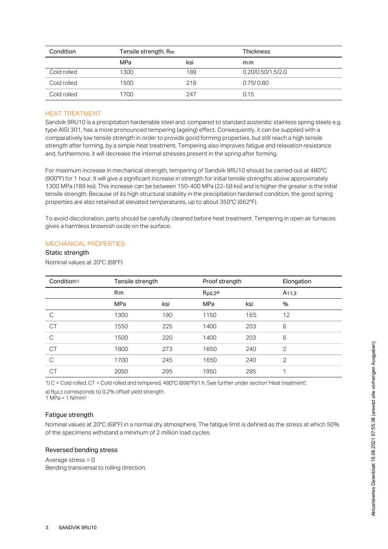| Condition   | Tensile strength, R <sub>m</sub> |     | Thickness         |
|-------------|----------------------------------|-----|-------------------|
|             | MPa                              | ksi | mm                |
| Cold rolled | 1300                             | 189 | 0.20/0.50/1.5/2.0 |
| Cold rolled | 1500                             | 218 | 0.75/0.80         |
| Cold rolled | 1700                             | 247 | 0.15              |

### HEAT TREATMENT

Sandvik 9RU10 is a precipitation hardenable steel and, compared to standard austenitic stainless spring steels e.g. type AISI 301, has a more pronounced tempering (ageing) effect. Consequently, it can be supplied with a comparatively low tensile strength in order to provide good forming properties, but still reach a high tensile strength after forming, by a simple heat treatment. Tempering also improves fatigue and relaxation resistance and, furthermore, it will decrease the internal stresses present in the spring after forming.

For maximum increase in mechanical strength, tempering of Sandvik 9RU10 should be carried out at 480°C (900°F) for 1 hour. It will give a significant increase in strength for initial tensile strengths above approximately 1300 MPa (189 ksi). This increase can be between 150-400 MPa (22-58 ksi) and is higher the greater is the initial tensile strength. Because of its high structural stability in the precipitation hardened condition, the good spring properties are also retained at elevated temperatures, up to about 350°C (662°F).

To avoid discoloration, parts should be carefully cleaned before heat treatment. Tempering in open air furnaces gives a harmless brownish oxide on the surface.

#### MECHANICAL PROPERTIES

#### Static strength

Nominal values at 20°C (68°F)

| Condition <sup>1)</sup> | Tensile strength |     | Proof strength |     | Elongation     |
|-------------------------|------------------|-----|----------------|-----|----------------|
|                         | Rm               |     | $R_{p0,2}$ a)  |     | $A_{11,3}$     |
|                         | MPa              | ksi | MPa            | ksi | $\%$           |
| C                       | 1300             | 190 | 1150           | 165 | 12             |
| <b>CT</b>               | 1550             | 225 | 1400           | 203 | 6              |
| C                       | 1500             | 220 | 1400           | 203 | 6              |
| <b>CT</b>               | 1800             | 273 | 1650           | 240 | $\overline{2}$ |
| C                       | 1700             | 245 | 1650           | 240 | $\overline{2}$ |
| <b>CT</b>               | 2050             | 295 | 1950           | 285 |                |

1) C = Cold rolled, CT = Cold rolled and tempered, 480°C (896°F)/1 h. See further under section 'Heat treatment'.

a) R<sub>p0.2</sub> corresponds to 0.2% offset yield strength.

1 MPa = 1 N/mm 2

#### Fatigue strength

Nominal values at 20°C (68°F) in a normal dry atmosphere. The fatigue limit is defined as the stress at which 50% of the specimens withstand a minimum of 2 million load cycles.

#### Reversed bending stress

Average stress = 0 Bending transversal to rolling direction.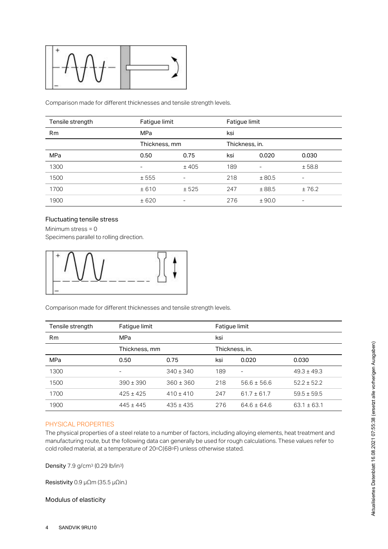

Comparison made for different thicknesses and tensile strength levels.

| Tensile strength | Fatigue limit |       | Fatigue limit  |        |        |
|------------------|---------------|-------|----------------|--------|--------|
| Rm               | MPa           |       | ksi            |        |        |
|                  | Thickness, mm |       | Thickness, in. |        |        |
| <b>MPa</b>       | 0.50          | 0.75  | ksi            | 0.020  | 0.030  |
| 1300             | -             | ±405  | 189            |        | ± 58.8 |
| 1500             | ± 555         |       | 218            | ±80.5  | -      |
| 1700             | ± 610         | ± 525 | 247            | ±88.5  | ±76.2  |
| 1900             | ± 620         | -     | 276            | ± 90.0 | ۰      |

# Fluctuating tensile stress

Minimum stress = 0 Specimens parallel to rolling direction.



Comparison made for different thicknesses and tensile strength levels.

| Tensile strength | Fatigue limit |               | Fatigue limit  |                          |                 |  |
|------------------|---------------|---------------|----------------|--------------------------|-----------------|--|
| <b>Rm</b>        | MPa           |               | ksi            |                          |                 |  |
|                  | Thickness, mm |               | Thickness, in. |                          |                 |  |
| MPa              | 0.50          | 0.75          | ksi            | 0.020                    | 0.030           |  |
| 1300             | ۰             | $340 \pm 340$ | 189            | $\overline{\phantom{0}}$ | $49.3 \pm 49.3$ |  |
| 1500             | $390 \pm 390$ | $360 \pm 360$ | 218            | $56.6 \pm 56.6$          | $52.2 \pm 52.2$ |  |
| 1700             | $425 \pm 425$ | $410 \pm 410$ | 247            | $61.7 \pm 61.7$          | $59.5 \pm 59.5$ |  |
| 1900             | $445 \pm 445$ | $435 \pm 435$ | 276            | $64.6 \pm 64.6$          | $63.1 \pm 63.1$ |  |

# PHYSICAL PROPERTIES

The physical properties of a steel relate to a number of factors, including alloying elements, heat treatment and manufacturing route, but the following data can generally be used for rough calculations. These values refer to cold rolled material, at a temperature of 20°C(68°F) unless otherwise stated.

Density  $7.9$  g/cm $3$  (0.29 lb/in $3$ )

Resistivity 0.9 μ $\Omega$ m (35.5 μ $\Omega$ in.)

Modulus of elasticity